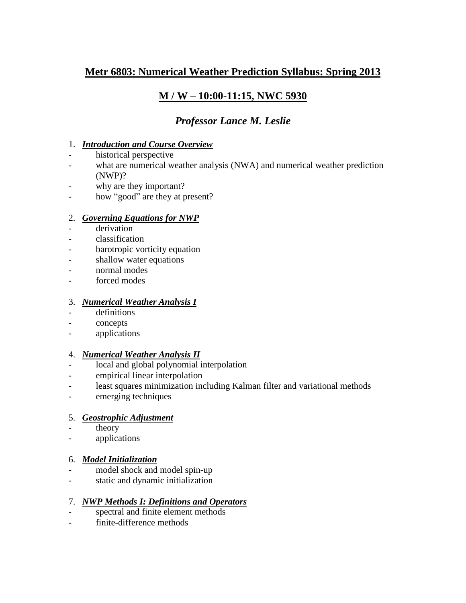# **Metr 6803: Numerical Weather Prediction Syllabus: Spring 2013**

# **M / W – 10:00-11:15, NWC 5930**

# *Professor Lance M. Leslie*

## 1. *Introduction and Course Overview*

- historical perspective
- what are numerical weather analysis (NWA) and numerical weather prediction (NWP)?
- why are they important?
- how "good" are they at present?

#### 2. *Governing Equations for NWP*

- derivation
- classification
- barotropic vorticity equation
- shallow water equations
- normal modes
- forced modes

## 3. *Numerical Weather Analysis I*

- definitions
- concepts
- applications

## 4. *Numerical Weather Analysis II*

- local and global polynomial interpolation
- empirical linear interpolation
- least squares minimization including Kalman filter and variational methods
- emerging techniques

## 5. *Geostrophic Adjustment*

- theory
- applications

## 6. *Model Initialization*

- model shock and model spin-up
- static and dynamic initialization

## 7. *NWP Methods I: Definitions and Operators*

- spectral and finite element methods
- finite-difference methods